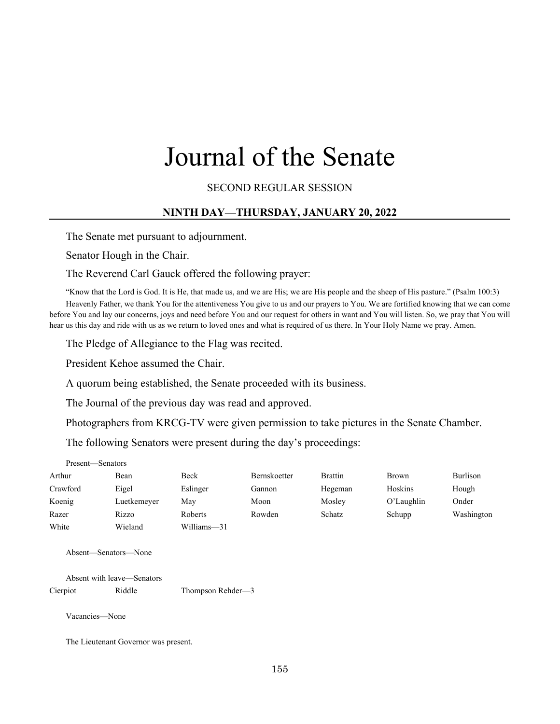# Journal of the Senate

SECOND REGULAR SESSION

#### **NINTH DAY—THURSDAY, JANUARY 20, 2022**

The Senate met pursuant to adjournment.

Senator Hough in the Chair.

The Reverend Carl Gauck offered the following prayer:

"Know that the Lord is God. It is He, that made us, and we are His; we are His people and the sheep of His pasture." (Psalm 100:3) Heavenly Father, we thank You for the attentiveness You give to us and our prayers to You. We are fortified knowing that we can come before You and lay our concerns, joys and need before You and our request for others in want and You will listen. So, we pray that You will hear us this day and ride with us as we return to loved ones and what is required of us there. In Your Holy Name we pray. Amen.

The Pledge of Allegiance to the Flag was recited.

President Kehoe assumed the Chair.

A quorum being established, the Senate proceeded with its business.

The Journal of the previous day was read and approved.

Photographers from KRCG-TV were given permission to take pictures in the Senate Chamber.

The following Senators were present during the day's proceedings:

| .        | .           |             |              |                |            |            |
|----------|-------------|-------------|--------------|----------------|------------|------------|
| Arthur   | Bean        | Beck        | Bernskoetter | <b>Brattin</b> | Brown      | Burlison   |
| Crawford | Eigel       | Eslinger    | Gannon       | Hegeman        | Hoskins    | Hough      |
| Koenig   | Luetkemeyer | Mav         | Moon         | Mosley         | O'Laughlin | Onder      |
| Razer    | Rizzo       | Roberts     | Rowden       | Schatz         | Schupp     | Washington |
| White    | Wieland     | Williams-31 |              |                |            |            |

Absent—Senators—None

Present—Senators

Absent with leave—Senators Cierpiot Riddle Thompson Rehder—3

Vacancies—None

The Lieutenant Governor was present.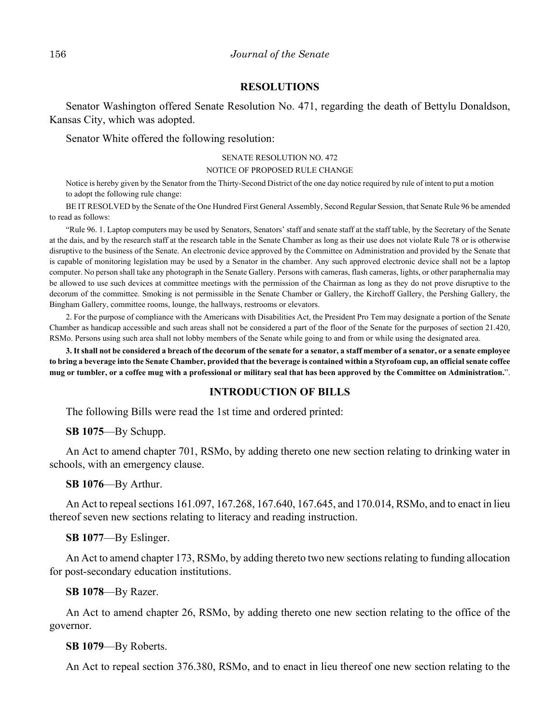#### **RESOLUTIONS**

Senator Washington offered Senate Resolution No. 471, regarding the death of Bettylu Donaldson, Kansas City, which was adopted.

Senator White offered the following resolution:

#### SENATE RESOLUTION NO. 472

#### NOTICE OF PROPOSED RULE CHANGE

Notice is hereby given by the Senator from the Thirty-Second District of the one day notice required by rule of intent to put a motion to adopt the following rule change:

BE IT RESOLVED by the Senate of the One Hundred First General Assembly, Second Regular Session, that Senate Rule 96 be amended to read as follows:

"Rule 96. 1. Laptop computers may be used by Senators, Senators' staff and senate staff at the staff table, by the Secretary of the Senate at the dais, and by the research staff at the research table in the Senate Chamber as long as their use does not violate Rule 78 or is otherwise disruptive to the business of the Senate. An electronic device approved by the Committee on Administration and provided by the Senate that is capable of monitoring legislation may be used by a Senator in the chamber. Any such approved electronic device shall not be a laptop computer. No person shall take any photograph in the Senate Gallery. Persons with cameras, flash cameras, lights, or other paraphernalia may be allowed to use such devices at committee meetings with the permission of the Chairman as long as they do not prove disruptive to the decorum of the committee. Smoking is not permissible in the Senate Chamber or Gallery, the Kirchoff Gallery, the Pershing Gallery, the Bingham Gallery, committee rooms, lounge, the hallways, restrooms or elevators.

2. For the purpose of compliance with the Americans with Disabilities Act, the President Pro Tem may designate a portion of the Senate Chamber as handicap accessible and such areas shall not be considered a part of the floor of the Senate for the purposes of section 21.420, RSMo. Persons using such area shall not lobby members of the Senate while going to and from or while using the designated area.

**3. It shall not be considered a breach of the decorum of the senate for a senator, a staff member of a senator, or a senate employee to bring a beverage into the Senate Chamber, provided that the beverage is contained within a Styrofoam cup, an official senate coffee mug or tumbler, or a coffee mug with a professional or military seal that has been approved by the Committee on Administration.**".

#### **INTRODUCTION OF BILLS**

The following Bills were read the 1st time and ordered printed:

**SB 1075**––By Schupp.

An Act to amend chapter 701, RSMo, by adding thereto one new section relating to drinking water in schools, with an emergency clause.

**SB 1076**––By Arthur.

An Act to repeal sections 161.097, 167.268, 167.640, 167.645, and 170.014, RSMo, and to enact in lieu thereof seven new sections relating to literacy and reading instruction.

**SB 1077**––By Eslinger.

An Act to amend chapter 173, RSMo, by adding thereto two new sections relating to funding allocation for post-secondary education institutions.

**SB 1078**––By Razer.

An Act to amend chapter 26, RSMo, by adding thereto one new section relating to the office of the governor.

**SB 1079**––By Roberts.

An Act to repeal section 376.380, RSMo, and to enact in lieu thereof one new section relating to the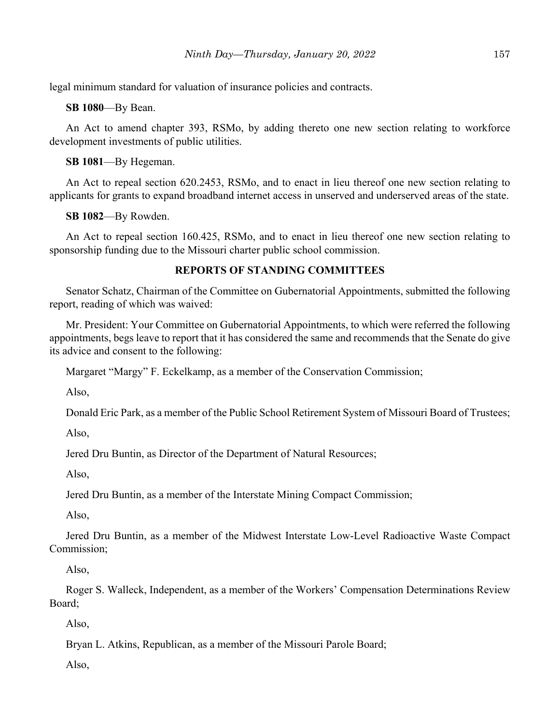legal minimum standard for valuation of insurance policies and contracts.

**SB 1080**––By Bean.

An Act to amend chapter 393, RSMo, by adding thereto one new section relating to workforce development investments of public utilities.

**SB 1081**––By Hegeman.

An Act to repeal section 620.2453, RSMo, and to enact in lieu thereof one new section relating to applicants for grants to expand broadband internet access in unserved and underserved areas of the state.

**SB 1082**––By Rowden.

An Act to repeal section 160.425, RSMo, and to enact in lieu thereof one new section relating to sponsorship funding due to the Missouri charter public school commission.

### **REPORTS OF STANDING COMMITTEES**

Senator Schatz, Chairman of the Committee on Gubernatorial Appointments, submitted the following report, reading of which was waived:

Mr. President: Your Committee on Gubernatorial Appointments, to which were referred the following appointments, begs leave to report that it has considered the same and recommends that the Senate do give its advice and consent to the following:

Margaret "Margy" F. Eckelkamp, as a member of the Conservation Commission;

Also,

Donald Eric Park, as a member of the Public School Retirement System of Missouri Board of Trustees;

Also,

Jered Dru Buntin, as Director of the Department of Natural Resources;

Also,

Jered Dru Buntin, as a member of the Interstate Mining Compact Commission;

Also,

Jered Dru Buntin, as a member of the Midwest Interstate Low-Level Radioactive Waste Compact Commission;

Also,

Roger S. Walleck, Independent, as a member of the Workers' Compensation Determinations Review Board;

Also,

Bryan L. Atkins, Republican, as a member of the Missouri Parole Board;

Also,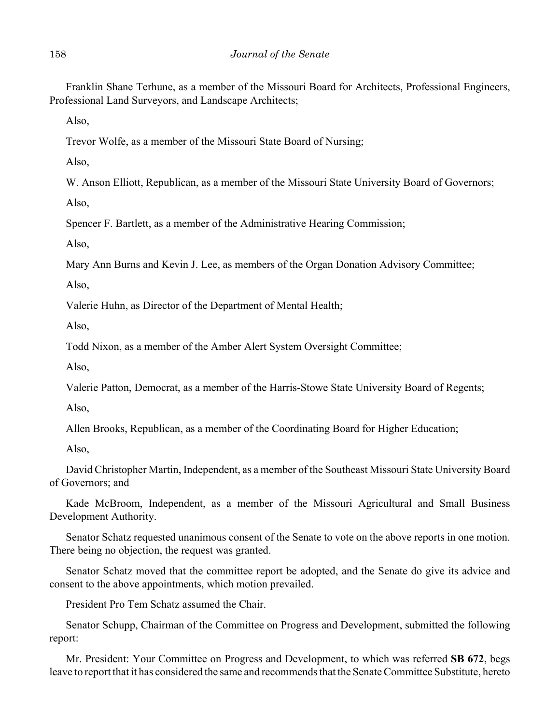Franklin Shane Terhune, as a member of the Missouri Board for Architects, Professional Engineers, Professional Land Surveyors, and Landscape Architects;

Also,

Trevor Wolfe, as a member of the Missouri State Board of Nursing;

Also,

W. Anson Elliott, Republican, as a member of the Missouri State University Board of Governors;

Also,

Spencer F. Bartlett, as a member of the Administrative Hearing Commission;

Also,

Mary Ann Burns and Kevin J. Lee, as members of the Organ Donation Advisory Committee;

Also,

Valerie Huhn, as Director of the Department of Mental Health;

Also,

Todd Nixon, as a member of the Amber Alert System Oversight Committee;

Also,

Valerie Patton, Democrat, as a member of the Harris-Stowe State University Board of Regents;

Also,

Allen Brooks, Republican, as a member of the Coordinating Board for Higher Education;

Also,

David Christopher Martin, Independent, as a member of the Southeast Missouri State University Board of Governors; and

Kade McBroom, Independent, as a member of the Missouri Agricultural and Small Business Development Authority.

Senator Schatz requested unanimous consent of the Senate to vote on the above reports in one motion. There being no objection, the request was granted.

Senator Schatz moved that the committee report be adopted, and the Senate do give its advice and consent to the above appointments, which motion prevailed.

President Pro Tem Schatz assumed the Chair.

Senator Schupp, Chairman of the Committee on Progress and Development, submitted the following report:

Mr. President: Your Committee on Progress and Development, to which was referred **SB 672**, begs leave to report that it has considered the same and recommends that the Senate Committee Substitute, hereto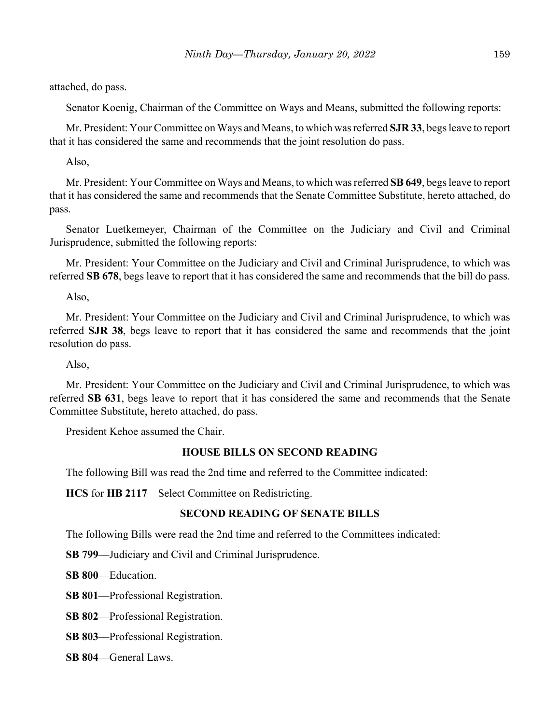attached, do pass.

Senator Koenig, Chairman of the Committee on Ways and Means, submitted the following reports:

Mr. President: Your Committee on Ways and Means, to which was referred **SJR 33**, begs leave to report that it has considered the same and recommends that the joint resolution do pass.

Also,

Mr. President: Your Committee on Ways and Means, to which was referred **SB 649**, begs leave to report that it has considered the same and recommends that the Senate Committee Substitute, hereto attached, do pass.

Senator Luetkemeyer, Chairman of the Committee on the Judiciary and Civil and Criminal Jurisprudence, submitted the following reports:

Mr. President: Your Committee on the Judiciary and Civil and Criminal Jurisprudence, to which was referred **SB 678**, begs leave to report that it has considered the same and recommends that the bill do pass.

Also,

Mr. President: Your Committee on the Judiciary and Civil and Criminal Jurisprudence, to which was referred **SJR 38**, begs leave to report that it has considered the same and recommends that the joint resolution do pass.

Also,

Mr. President: Your Committee on the Judiciary and Civil and Criminal Jurisprudence, to which was referred **SB 631**, begs leave to report that it has considered the same and recommends that the Senate Committee Substitute, hereto attached, do pass.

President Kehoe assumed the Chair.

# **HOUSE BILLS ON SECOND READING**

The following Bill was read the 2nd time and referred to the Committee indicated:

**HCS** for **HB 2117**––Select Committee on Redistricting.

### **SECOND READING OF SENATE BILLS**

The following Bills were read the 2nd time and referred to the Committees indicated:

**SB 799**––Judiciary and Civil and Criminal Jurisprudence.

**SB 800**––Education.

**SB 801**––Professional Registration.

**SB 802**––Professional Registration.

**SB 803**––Professional Registration.

**SB 804**––General Laws.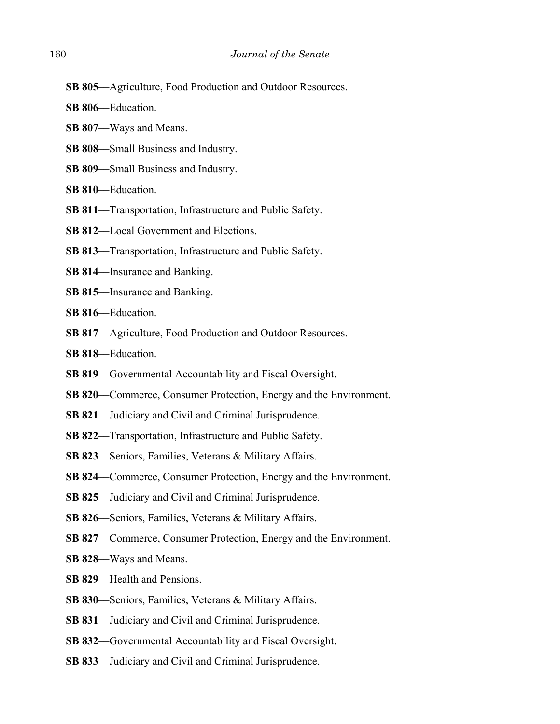- **SB 805**––Agriculture, Food Production and Outdoor Resources.
- **SB 806**––Education.
- **SB 807**––Ways and Means.
- **SB 808**––Small Business and Industry.
- **SB 809**––Small Business and Industry.
- **SB 810**––Education.
- **SB 811**––Transportation, Infrastructure and Public Safety.
- **SB 812**––Local Government and Elections.
- **SB 813**––Transportation, Infrastructure and Public Safety.
- **SB 814**––Insurance and Banking.
- **SB 815**––Insurance and Banking.
- **SB 816**––Education.
- **SB 817**––Agriculture, Food Production and Outdoor Resources.
- **SB 818**––Education.
- **SB 819**––Governmental Accountability and Fiscal Oversight.
- **SB 820**––Commerce, Consumer Protection, Energy and the Environment.
- **SB 821**––Judiciary and Civil and Criminal Jurisprudence.
- **SB 822**––Transportation, Infrastructure and Public Safety.
- **SB 823**––Seniors, Families, Veterans & Military Affairs.
- **SB 824—Commerce, Consumer Protection, Energy and the Environment.**
- **SB 825**––Judiciary and Civil and Criminal Jurisprudence.
- **SB 826**––Seniors, Families, Veterans & Military Affairs.
- **SB 827—Commerce, Consumer Protection, Energy and the Environment.**
- **SB 828**––Ways and Means.
- **SB 829**—Health and Pensions.
- **SB 830**––Seniors, Families, Veterans & Military Affairs.
- **SB 831**––Judiciary and Civil and Criminal Jurisprudence.
- **SB 832**––Governmental Accountability and Fiscal Oversight.
- **SB 833**––Judiciary and Civil and Criminal Jurisprudence.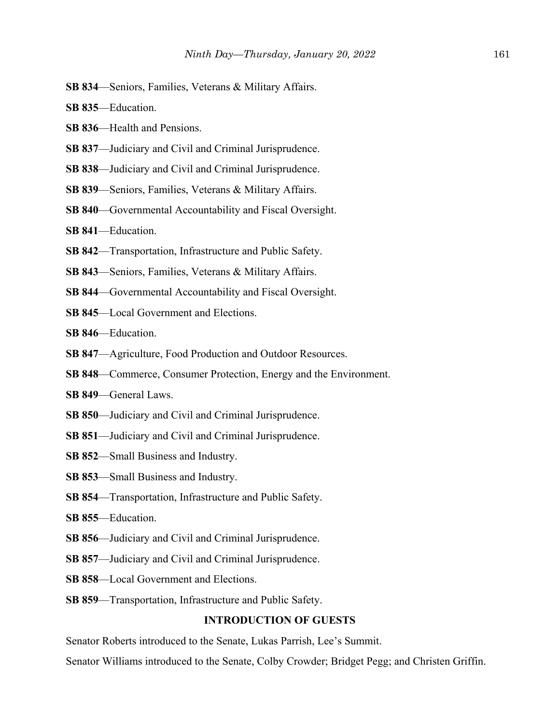- **SB 834**––Seniors, Families, Veterans & Military Affairs.
- **SB 835**––Education.
- **SB 836—Health and Pensions.**
- **SB 837**––Judiciary and Civil and Criminal Jurisprudence.
- **SB 838**––Judiciary and Civil and Criminal Jurisprudence.
- **SB 839**––Seniors, Families, Veterans & Military Affairs.
- **SB 840**—Governmental Accountability and Fiscal Oversight.
- **SB 841**––Education.
- **SB 842**––Transportation, Infrastructure and Public Safety.
- **SB 843**––Seniors, Families, Veterans & Military Affairs.
- **SB 844**––Governmental Accountability and Fiscal Oversight.
- **SB 845–Local Government and Elections.**

**SB 846**––Education.

- **SB 847**––Agriculture, Food Production and Outdoor Resources.
- **SB 848**––Commerce, Consumer Protection, Energy and the Environment.
- **SB 849**––General Laws.
- **SB 850**––Judiciary and Civil and Criminal Jurisprudence.
- **SB 851**––Judiciary and Civil and Criminal Jurisprudence.
- **SB 852**––Small Business and Industry.
- **SB 853**––Small Business and Industry.
- **SB 854**––Transportation, Infrastructure and Public Safety.
- **SB 855**––Education.
- **SB 856**––Judiciary and Civil and Criminal Jurisprudence.
- **SB 857**––Judiciary and Civil and Criminal Jurisprudence.
- **SB 858**––Local Government and Elections.
- **SB 859**––Transportation, Infrastructure and Public Safety.

#### **INTRODUCTION OF GUESTS**

Senator Roberts introduced to the Senate, Lukas Parrish, Lee's Summit.

Senator Williams introduced to the Senate, Colby Crowder; Bridget Pegg; and Christen Griffin.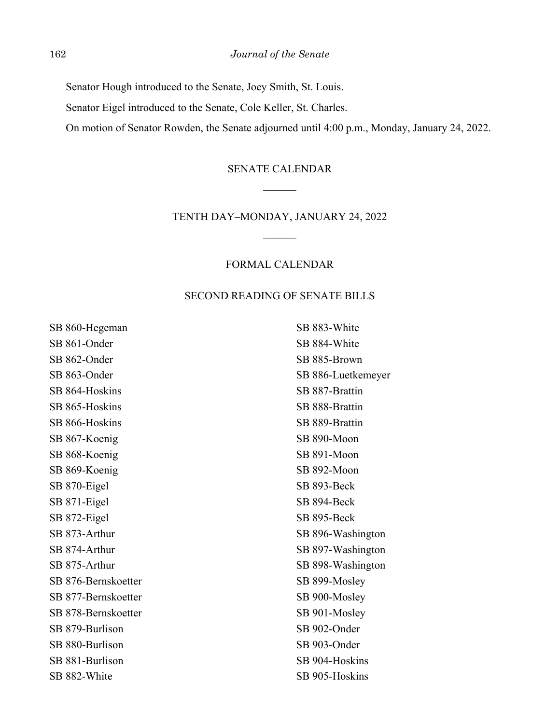Senator Hough introduced to the Senate, Joey Smith, St. Louis.

Senator Eigel introduced to the Senate, Cole Keller, St. Charles.

On motion of Senator Rowden, the Senate adjourned until 4:00 p.m., Monday, January 24, 2022.

#### SENATE CALENDAR

# TENTH DAY–MONDAY, JANUARY 24, 2022  $\mathcal{L}$

#### FORMAL CALENDAR

#### SECOND READING OF SENATE BILLS

SB 860-Hegeman SB 861-Onder SB 862-Onder SB 863-Onder SB 864-Hoskins SB 865-Hoskins SB 866-Hoskins SB 867-Koenig SB 868-Koenig SB 869-Koenig SB 870-Eigel SB 871-Eigel SB 872-Eigel SB 873-Arthur SB 874-Arthur SB 875-Arthur SB 876-Bernskoetter SB 877-Bernskoetter SB 878-Bernskoetter SB 879-Burlison SB 880-Burlison SB 881-Burlison SB 882-White

SB 883-White SB 884-White SB 885-Brown SB 886-Luetkemeyer SB 887-Brattin SB 888-Brattin SB 889-Brattin SB 890-Moon SB 891-Moon SB 892-Moon SB 893-Beck SB 894-Beck SB 895-Beck SB 896-Washington SB 897-Washington SB 898-Washington SB 899-Mosley SB 900-Mosley SB 901-Mosley SB 902-Onder SB 903-Onder SB 904-Hoskins SB 905-Hoskins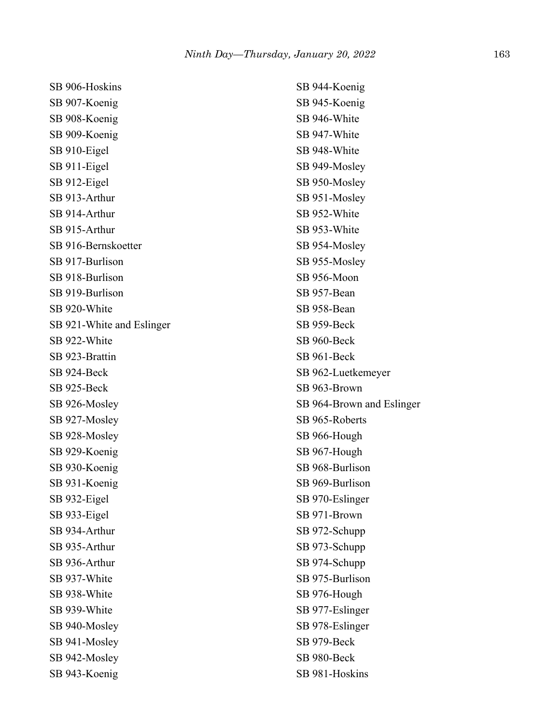SB 906-Hoskins SB 907-Koenig SB 908-Koenig SB 909-Koenig SB 910-Eigel SB 911-Eigel SB 912-Eigel SB 913-Arthur SB 914-Arthur SB 915-Arthur SB 916-Bernskoetter SB 917-Burlison SB 918-Burlison SB 919-Burlison SB 920-White SB 921-White and Eslinger SB 922-White SB 923-Brattin SB 924-Beck SB 925-Beck SB 926-Mosley SB 927-Mosley SB 928-Mosley SB 929-Koenig SB 930-Koenig SB 931-Koenig SB 932-Eigel SB 933-Eigel SB 934-Arthur SB 935-Arthur SB 936-Arthur SB 937-White SB 938-White SB 939-White SB 940-Mosley SB 941-Mosley SB 942-Mosley SB 943-Koenig

SB 944-Koenig SB 945-Koenig SB 946-White SB 947-White SB 948-White SB 949-Mosley SB 950-Mosley SB 951-Mosley SB 952-White SB 953-White SB 954-Mosley SB 955-Mosley SB 956-Moon SB 957-Bean SB 958-Bean SB 959-Beck SB 960-Beck SB 961-Beck SB 962-Luetkemeyer SB 963-Brown SB 964-Brown and Eslinger SB 965-Roberts SB 966-Hough SB 967-Hough SB 968-Burlison SB 969-Burlison SB 970-Eslinger SB 971-Brown SB 972-Schupp SB 973-Schupp SB 974-Schupp SB 975-Burlison SB 976-Hough SB 977-Eslinger SB 978-Eslinger SB 979-Beck SB 980-Beck SB 981-Hoskins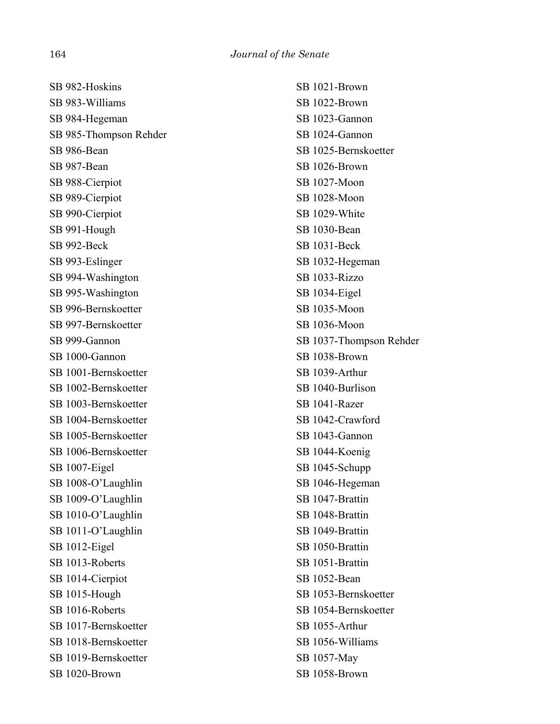SB 982-Hoskins SB 983-Williams SB 984-Hegeman SB 985-Thompson Rehder SB 986-Bean SB 987-Bean SB 988-Cierpiot SB 989-Cierpiot SB 990-Cierpiot SB 991-Hough SB 992-Beck SB 993-Eslinger SB 994-Washington SB 995-Washington SB 996-Bernskoetter SB 997-Bernskoetter SB 999-Gannon SB 1000-Gannon SB 1001-Bernskoetter SB 1002-Bernskoetter SB 1003-Bernskoetter SB 1004-Bernskoetter SB 1005-Bernskoetter SB 1006-Bernskoetter SB 1007-Eigel SB 1008-O'Laughlin SB 1009-O'Laughlin SB 1010-O'Laughlin SB 1011-O'Laughlin SB 1012-Eigel SB 1013-Roberts SB 1014-Cierpiot SB 1015-Hough SB 1016-Roberts SB 1017-Bernskoetter SB 1018-Bernskoetter SB 1019-Bernskoetter SB 1020-Brown

SB 1021-Brown SB 1022-Brown SB 1023-Gannon SB 1024-Gannon SB 1025-Bernskoetter SB 1026-Brown SB 1027-Moon SB 1028-Moon SB 1029-White SB 1030-Bean SB 1031-Beck SB 1032-Hegeman SB 1033-Rizzo SB 1034-Eigel SB 1035-Moon SB 1036-Moon SB 1037-Thompson Rehder SB 1038-Brown SB 1039-Arthur SB 1040-Burlison SB 1041-Razer SB 1042-Crawford SB 1043-Gannon SB 1044-Koenig SB 1045-Schupp SB 1046-Hegeman SB 1047-Brattin SB 1048-Brattin SB 1049-Brattin SB 1050-Brattin SB 1051-Brattin SB 1052-Bean SB 1053-Bernskoetter SB 1054-Bernskoetter SB 1055-Arthur SB 1056-Williams SB 1057-May SB 1058-Brown